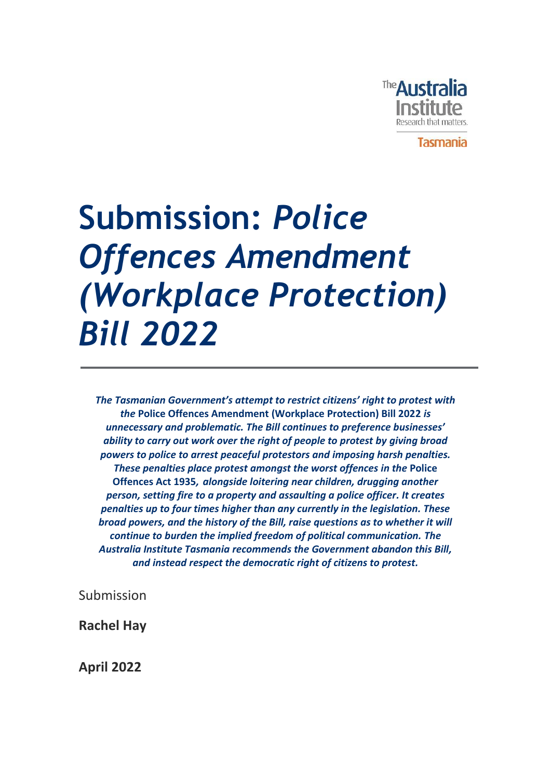

**Submission:** *Police Offences Amendment (Workplace Protection) Bill 2022*

*The Tasmanian Government's attempt to restrict citizens' right to protest with the* **Police Offences Amendment (Workplace Protection) Bill 2022** *is unnecessary and problematic. The Bill continues to preference businesses' ability to carry out work over the right of people to protest by giving broad powers to police to arrest peaceful protestors and imposing harsh penalties. These penalties place protest amongst the worst offences in the* **Police Offences Act 1935***, alongside loitering near children, drugging another person, setting fire to a property and assaulting a police officer. It creates penalties up to four times higher than any currently in the legislation. These broad powers, and the history of the Bill, raise questions as to whether it will continue to burden the implied freedom of political communication. The Australia Institute Tasmania recommends the Government abandon this Bill, and instead respect the democratic right of citizens to protest.*

Submission

**Rachel Hay**

**April 2022**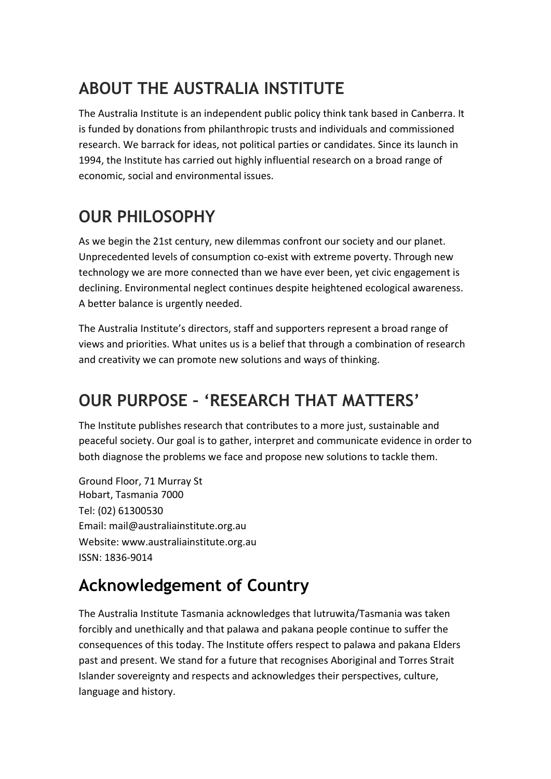### **ABOUT THE AUSTRALIA INSTITUTE**

The Australia Institute is an independent public policy think tank based in Canberra. It is funded by donations from philanthropic trusts and individuals and commissioned research. We barrack for ideas, not political parties or candidates. Since its launch in 1994, the Institute has carried out highly influential research on a broad range of economic, social and environmental issues.

### **OUR PHILOSOPHY**

As we begin the 21st century, new dilemmas confront our society and our planet. Unprecedented levels of consumption co-exist with extreme poverty. Through new technology we are more connected than we have ever been, yet civic engagement is declining. Environmental neglect continues despite heightened ecological awareness. A better balance is urgently needed.

The Australia Institute's directors, staff and supporters represent a broad range of views and priorities. What unites us is a belief that through a combination of research and creativity we can promote new solutions and ways of thinking.

### **OUR PURPOSE – 'RESEARCH THAT MATTERS'**

The Institute publishes research that contributes to a more just, sustainable and peaceful society. Our goal is to gather, interpret and communicate evidence in order to both diagnose the problems we face and propose new solutions to tackle them.

Ground Floor, 71 Murray St Hobart, Tasmania 7000 Tel: (02) 61300530 Email: mail@australiainstitute.org.au Website: www.australiainstitute.org.au ISSN: 1836-9014

### **Acknowledgement of Country**

The Australia Institute Tasmania acknowledges that lutruwita/Tasmania was taken forcibly and unethically and that palawa and pakana people continue to suffer the consequences of this today. The Institute offers respect to palawa and pakana Elders past and present. We stand for a future that recognises Aboriginal and Torres Strait Islander sovereignty and respects and acknowledges their perspectives, culture, language and history.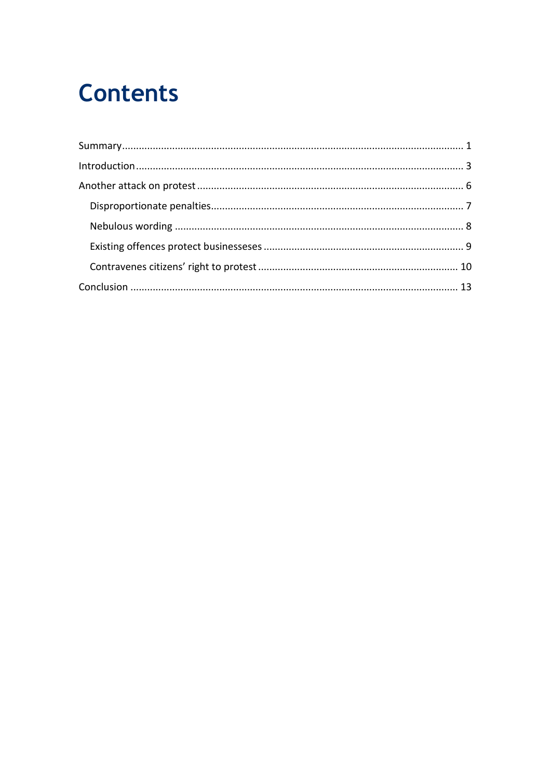## **Contents**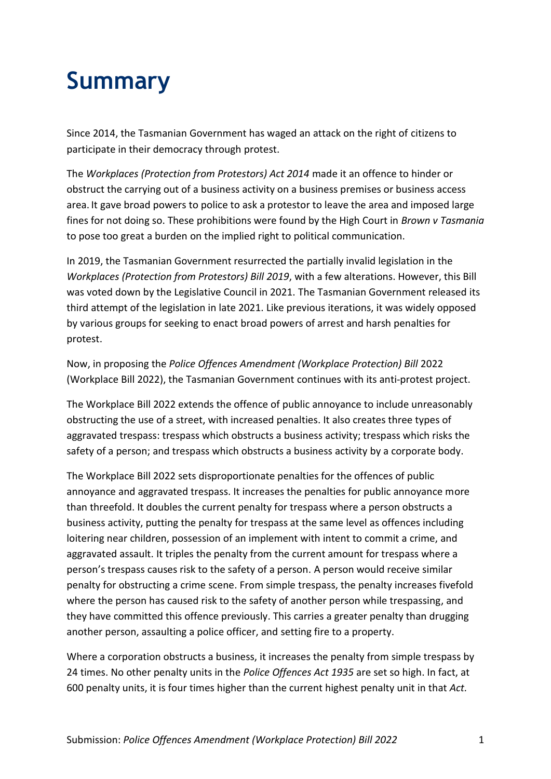# <span id="page-4-0"></span>**Summary**

Since 2014, the Tasmanian Government has waged an attack on the right of citizens to participate in their democracy through protest.

The *Workplaces (Protection from Protestors) Act 2014* made it an offence to hinder or obstruct the carrying out of a business activity on a business premises or business access area. It gave broad powers to police to ask a protestor to leave the area and imposed large fines for not doing so. These prohibitions were found by the High Court in *Brown v Tasmania*  to pose too great a burden on the implied right to political communication.

In 2019, the Tasmanian Government resurrected the partially invalid legislation in the *Workplaces (Protection from Protestors) Bill 2019*, with a few alterations. However, this Bill was voted down by the Legislative Council in 2021. The Tasmanian Government released its third attempt of the legislation in late 2021. Like previous iterations, it was widely opposed by various groups for seeking to enact broad powers of arrest and harsh penalties for protest.

Now, in proposing the *Police Offences Amendment (Workplace Protection) Bill* 2022 (Workplace Bill 2022), the Tasmanian Government continues with its anti-protest project.

The Workplace Bill 2022 extends the offence of public annoyance to include unreasonably obstructing the use of a street, with increased penalties. It also creates three types of aggravated trespass: trespass which obstructs a business activity; trespass which risks the safety of a person; and trespass which obstructs a business activity by a corporate body.

The Workplace Bill 2022 sets disproportionate penalties for the offences of public annoyance and aggravated trespass. It increases the penalties for public annoyance more than threefold. It doubles the current penalty for trespass where a person obstructs a business activity, putting the penalty for trespass at the same level as offences including loitering near children, possession of an implement with intent to commit a crime, and aggravated assault. It triples the penalty from the current amount for trespass where a person's trespass causes risk to the safety of a person. A person would receive similar penalty for obstructing a crime scene. From simple trespass, the penalty increases fivefold where the person has caused risk to the safety of another person while trespassing, and they have committed this offence previously. This carries a greater penalty than drugging another person, assaulting a police officer, and setting fire to a property.

Where a corporation obstructs a business, it increases the penalty from simple trespass by 24 times. No other penalty units in the *Police Offences Act 1935* are set so high. In fact, at 600 penalty units, it is four times higher than the current highest penalty unit in that *Act.*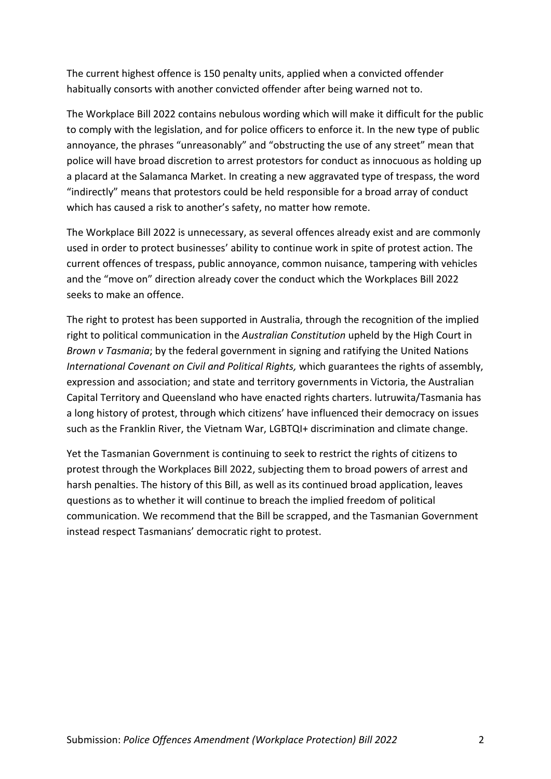The current highest offence is 150 penalty units, applied when a convicted offender habitually consorts with another convicted offender after being warned not to.

The Workplace Bill 2022 contains nebulous wording which will make it difficult for the public to comply with the legislation, and for police officers to enforce it. In the new type of public annoyance, the phrases "unreasonably" and "obstructing the use of any street" mean that police will have broad discretion to arrest protestors for conduct as innocuous as holding up a placard at the Salamanca Market. In creating a new aggravated type of trespass, the word "indirectly" means that protestors could be held responsible for a broad array of conduct which has caused a risk to another's safety, no matter how remote.

The Workplace Bill 2022 is unnecessary, as several offences already exist and are commonly used in order to protect businesses' ability to continue work in spite of protest action. The current offences of trespass, public annoyance, common nuisance, tampering with vehicles and the "move on" direction already cover the conduct which the Workplaces Bill 2022 seeks to make an offence.

The right to protest has been supported in Australia, through the recognition of the implied right to political communication in the *Australian Constitution* upheld by the High Court in *Brown v Tasmania*; by the federal government in signing and ratifying the United Nations *International Covenant on Civil and Political Rights,* which guarantees the rights of assembly, expression and association; and state and territory governments in Victoria, the Australian Capital Territory and Queensland who have enacted rights charters. lutruwita/Tasmania has a long history of protest, through which citizens' have influenced their democracy on issues such as the Franklin River, the Vietnam War, LGBTQI+ discrimination and climate change.

Yet the Tasmanian Government is continuing to seek to restrict the rights of citizens to protest through the Workplaces Bill 2022, subjecting them to broad powers of arrest and harsh penalties. The history of this Bill, as well as its continued broad application, leaves questions as to whether it will continue to breach the implied freedom of political communication. We recommend that the Bill be scrapped, and the Tasmanian Government instead respect Tasmanians' democratic right to protest.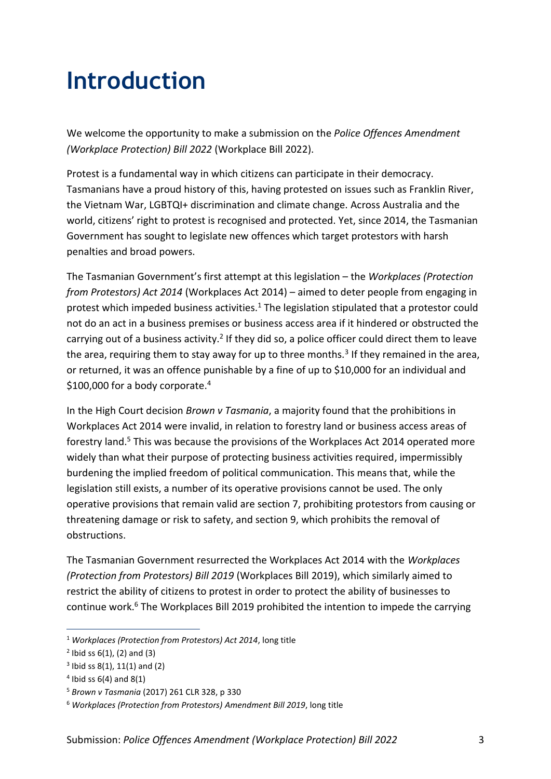## <span id="page-6-0"></span>**Introduction**

We welcome the opportunity to make a submission on the *Police Offences Amendment (Workplace Protection) Bill 2022* (Workplace Bill 2022).

Protest is a fundamental way in which citizens can participate in their democracy. Tasmanians have a proud history of this, having protested on issues such as Franklin River, the Vietnam War, LGBTQI+ discrimination and climate change. Across Australia and the world, citizens' right to protest is recognised and protected. Yet, since 2014, the Tasmanian Government has sought to legislate new offences which target protestors with harsh penalties and broad powers.

The Tasmanian Government's first attempt at this legislation – the *Workplaces (Protection from Protestors) Act 2014* (Workplaces Act 2014) – aimed to deter people from engaging in protest which impeded business activities.<sup>1</sup> The legislation stipulated that a protestor could not do an act in a business premises or business access area if it hindered or obstructed the carrying out of a business activity.<sup>2</sup> If they did so, a police officer could direct them to leave the area, requiring them to stay away for up to three months.<sup>3</sup> If they remained in the area, or returned, it was an offence punishable by a fine of up to \$10,000 for an individual and \$100,000 for a body corporate.<sup>4</sup>

In the High Court decision *Brown v Tasmania*, a majority found that the prohibitions in Workplaces Act 2014 were invalid, in relation to forestry land or business access areas of forestry land.<sup>5</sup> This was because the provisions of the Workplaces Act 2014 operated more widely than what their purpose of protecting business activities required, impermissibly burdening the implied freedom of political communication. This means that, while the legislation still exists, a number of its operative provisions cannot be used. The only operative provisions that remain valid are section 7, prohibiting protestors from causing or threatening damage or risk to safety, and section 9, which prohibits the removal of obstructions.

The Tasmanian Government resurrected the Workplaces Act 2014 with the *Workplaces (Protection from Protestors) Bill 2019* (Workplaces Bill 2019), which similarly aimed to restrict the ability of citizens to protest in order to protect the ability of businesses to continue work.<sup>6</sup> The Workplaces Bill 2019 prohibited the intention to impede the carrying

<sup>1</sup> *Workplaces (Protection from Protestors) Act 2014*, long title

 $2$  Ibid ss 6(1), (2) and (3)

 $3$  lbid ss 8(1), 11(1) and (2)

 $4$  Ibid ss 6(4) and 8(1)

<sup>5</sup> *Brown v Tasmania* (2017) 261 CLR 328, p 330

<sup>6</sup> *Workplaces (Protection from Protestors) Amendment Bill 2019*, long title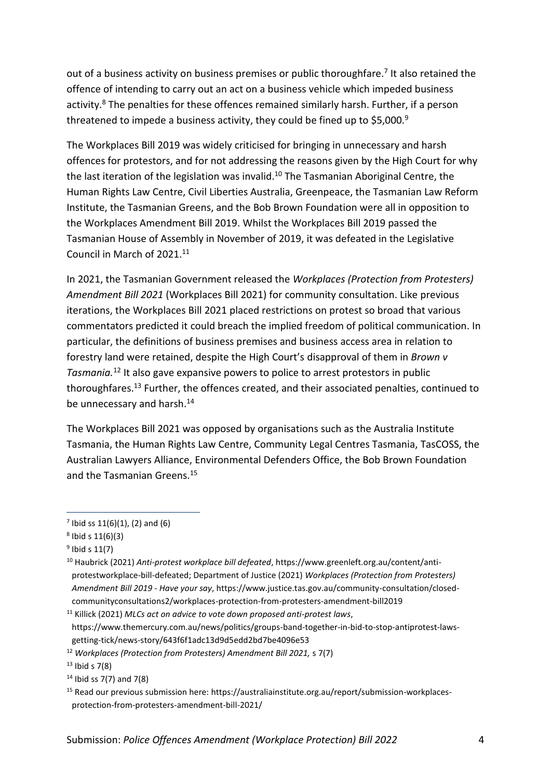out of a business activity on business premises or public thoroughfare.<sup>7</sup> It also retained the offence of intending to carry out an act on a business vehicle which impeded business activity.<sup>8</sup> The penalties for these offences remained similarly harsh. Further, if a person threatened to impede a business activity, they could be fined up to \$5,000.<sup>9</sup>

The Workplaces Bill 2019 was widely criticised for bringing in unnecessary and harsh offences for protestors, and for not addressing the reasons given by the High Court for why the last iteration of the legislation was invalid.<sup>10</sup> The Tasmanian Aboriginal Centre, the Human Rights Law Centre, Civil Liberties Australia, Greenpeace, the Tasmanian Law Reform Institute, the Tasmanian Greens, and the Bob Brown Foundation were all in opposition to the Workplaces Amendment Bill 2019. Whilst the Workplaces Bill 2019 passed the Tasmanian House of Assembly in November of 2019, it was defeated in the Legislative Council in March of 2021.<sup>11</sup>

In 2021, the Tasmanian Government released the *Workplaces (Protection from Protesters) Amendment Bill 2021* (Workplaces Bill 2021) for community consultation. Like previous iterations, the Workplaces Bill 2021 placed restrictions on protest so broad that various commentators predicted it could breach the implied freedom of political communication. In particular, the definitions of business premises and business access area in relation to forestry land were retained, despite the High Court's disapproval of them in *Brown v Tasmania.*<sup>12</sup> It also gave expansive powers to police to arrest protestors in public thoroughfares.<sup>13</sup> Further, the offences created, and their associated penalties, continued to be unnecessary and harsh.<sup>14</sup>

The Workplaces Bill 2021 was opposed by organisations such as the Australia Institute Tasmania, the Human Rights Law Centre, Community Legal Centres Tasmania, TasCOSS, the Australian Lawyers Alliance, Environmental Defenders Office, the Bob Brown Foundation and the Tasmanian Greens.<sup>15</sup>

 $7$  Ibid ss 11(6)(1), (2) and (6)

<sup>8</sup> Ibid s 11(6)(3)

<sup>&</sup>lt;sup>9</sup> Ibid s 11(7)

<sup>10</sup> Haubrick (2021) *Anti-protest workplace bill defeated*, https://www.greenleft.org.au/content/antiprotestworkplace-bill-defeated; Department of Justice (2021) *Workplaces (Protection from Protesters) Amendment Bill 2019 - Have your say*, https://www.justice.tas.gov.au/community-consultation/closedcommunityconsultations2/workplaces-protection-from-protesters-amendment-bill2019

<sup>11</sup> Killick (2021) *MLCs act on advice to vote down proposed anti-protest laws*, https://www.themercury.com.au/news/politics/groups-band-together-in-bid-to-stop-antiprotest-lawsgetting-tick/news-story/643f6f1adc13d9d5edd2bd7be4096e53

<sup>12</sup> *Workplaces (Protection from Protesters) Amendment Bill 2021,* s 7(7)

 $13$  Ibid s 7(8)

 $14$  Ibid ss 7(7) and 7(8)

<sup>15</sup> Read our previous submission here: [https://australiainstitute.org.au/report/submission-workplaces](https://australiainstitute.org.au/report/submission-workplaces-protection-from-protesters-amendment-bill-2021/)[protection-from-protesters-amendment-bill-2021/](https://australiainstitute.org.au/report/submission-workplaces-protection-from-protesters-amendment-bill-2021/)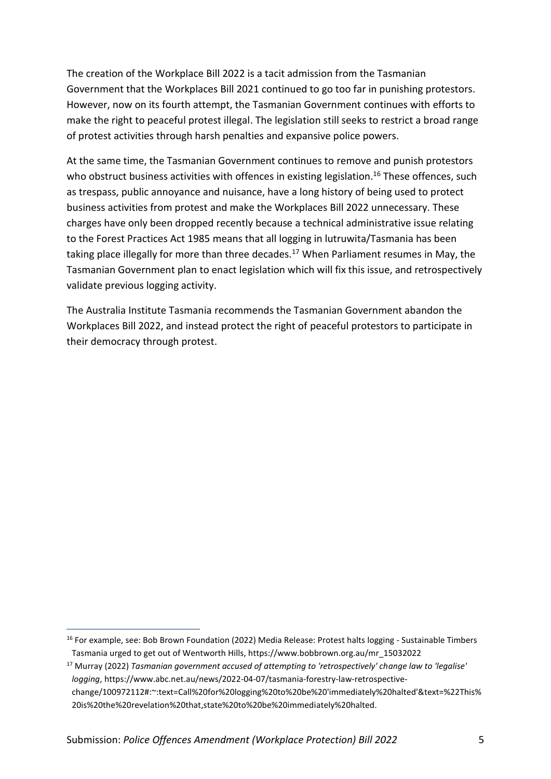The creation of the Workplace Bill 2022 is a tacit admission from the Tasmanian Government that the Workplaces Bill 2021 continued to go too far in punishing protestors. However, now on its fourth attempt, the Tasmanian Government continues with efforts to make the right to peaceful protest illegal. The legislation still seeks to restrict a broad range of protest activities through harsh penalties and expansive police powers.

At the same time, the Tasmanian Government continues to remove and punish protestors who obstruct business activities with offences in existing legislation.<sup>16</sup> These offences, such as trespass, public annoyance and nuisance, have a long history of being used to protect business activities from protest and make the Workplaces Bill 2022 unnecessary. These charges have only been dropped recently because a technical administrative issue relating to the Forest Practices Act 1985 means that all logging in lutruwita/Tasmania has been taking place illegally for more than three decades.<sup>17</sup> When Parliament resumes in May, the Tasmanian Government plan to enact legislation which will fix this issue, and retrospectively validate previous logging activity.

The Australia Institute Tasmania recommends the Tasmanian Government abandon the Workplaces Bill 2022, and instead protect the right of peaceful protestors to participate in their democracy through protest.

<sup>&</sup>lt;sup>16</sup> For example, see: Bob Brown Foundation (2022) Media Release: Protest halts logging - Sustainable Timbers Tasmania urged to get out of Wentworth Hills, https://www.bobbrown.org.au/mr\_15032022

<sup>17</sup> Murray (2022) *Tasmanian government accused of attempting to 'retrospectively' change law to 'legalise' logging*, https://www.abc.net.au/news/2022-04-07/tasmania-forestry-law-retrospectivechange/100972112#:~:text=Call%20for%20logging%20to%20be%20'immediately%20halted'&text=%22This% 20is%20the%20revelation%20that,state%20to%20be%20immediately%20halted.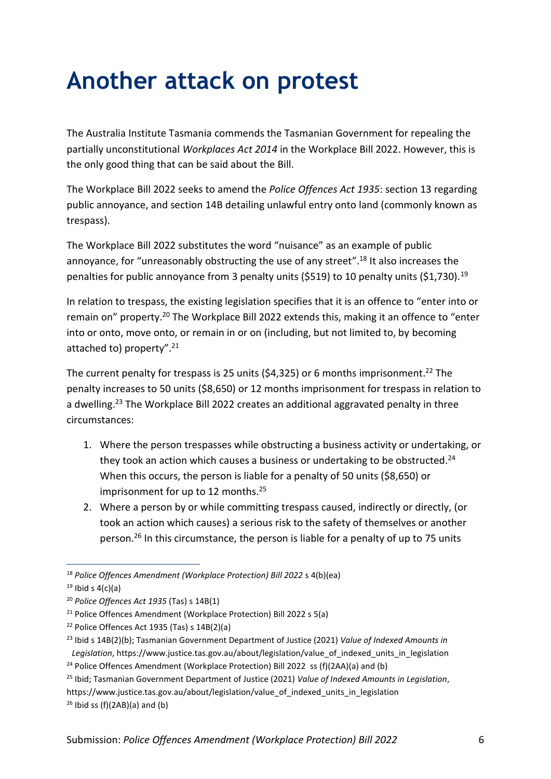## <span id="page-9-0"></span>**Another attack on protest**

The Australia Institute Tasmania commends the Tasmanian Government for repealing the partially unconstitutional *Workplaces Act 2014* in the Workplace Bill 2022. However, this is the only good thing that can be said about the Bill.

The Workplace Bill 2022 seeks to amend the *Police Offences Act 1935*: section 13 regarding public annoyance, and section 14B detailing unlawful entry onto land (commonly known as trespass).

The Workplace Bill 2022 substitutes the word "nuisance" as an example of public annoyance, for "unreasonably obstructing the use of any street".<sup>18</sup> It also increases the penalties for public annoyance from 3 penalty units (\$519) to 10 penalty units (\$1,730).<sup>19</sup>

In relation to trespass, the existing legislation specifies that it is an offence to "enter into or remain on" property.<sup>20</sup> The Workplace Bill 2022 extends this, making it an offence to "enter into or onto, move onto, or remain in or on (including, but not limited to, by becoming attached to) property".<sup>21</sup>

The current penalty for trespass is 25 units (\$4,325) or 6 months imprisonment.<sup>22</sup> The penalty increases to 50 units (\$8,650) or 12 months imprisonment for trespass in relation to a dwelling.<sup>23</sup> The Workplace Bill 2022 creates an additional aggravated penalty in three circumstances:

- 1. Where the person trespasses while obstructing a business activity or undertaking, or they took an action which causes a business or undertaking to be obstructed.<sup>24</sup> When this occurs, the person is liable for a penalty of 50 units (\$8,650) or imprisonment for up to 12 months.<sup>25</sup>
- 2. Where a person by or while committing trespass caused, indirectly or directly, (or took an action which causes) a serious risk to the safety of themselves or another person. <sup>26</sup> In this circumstance, the person is liable for a penalty of up to 75 units

<sup>18</sup> *Police Offences Amendment (Workplace Protection) Bill 2022* s 4(b)(ea)

 $19$  Ibid s 4(c)(a)

<sup>20</sup> *Police Offences Act 1935* (Tas) s 14B(1)

<sup>21</sup> Police Offences Amendment (Workplace Protection) Bill 2022 s 5(a)

 $22$  Police Offences Act 1935 (Tas) s 14B(2)(a)

<sup>23</sup> Ibid s 14B(2)(b); Tasmanian Government Department of Justice (2021) *Value of Indexed Amounts in*  Legislation, https://www.justice.tas.gov.au/about/legislation/value\_of\_indexed\_units\_in\_legislation

<sup>&</sup>lt;sup>24</sup> Police Offences Amendment (Workplace Protection) Bill 2022 ss (f)(2AA)(a) and (b)

<sup>25</sup> Ibid; Tasmanian Government Department of Justice (2021) *Value of Indexed Amounts in Legislation*, [https://www.justice.tas.gov.au/about/legislation/value\\_of\\_indexed\\_units\\_in\\_legislation](https://www.justice.tas.gov.au/about/legislation/value_of_indexed_units_in_legislation)  $26$  Ibid ss (f)(2AB)(a) and (b)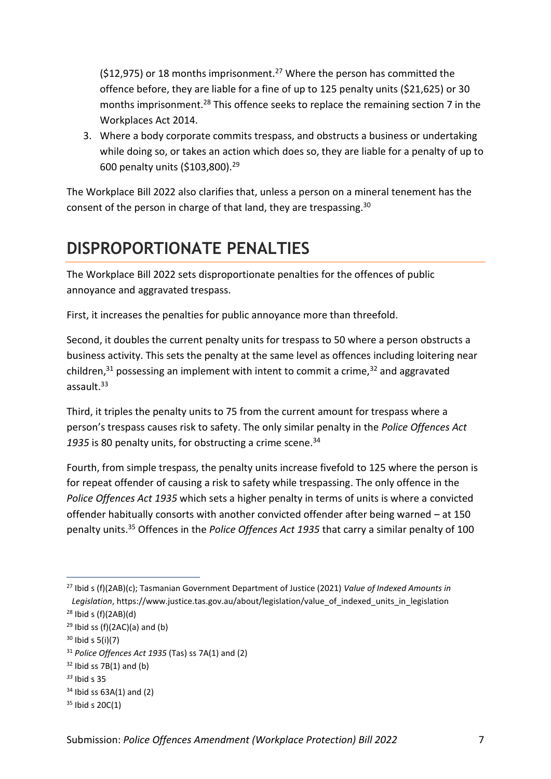( $$12,975$ ) or 18 months imprisonment.<sup>27</sup> Where the person has committed the offence before, they are liable for a fine of up to 125 penalty units (\$21,625) or 30 months imprisonment.<sup>28</sup> This offence seeks to replace the remaining section 7 in the Workplaces Act 2014.

3. Where a body corporate commits trespass, and obstructs a business or undertaking while doing so, or takes an action which does so, they are liable for a penalty of up to 600 penalty units (\$103,800).<sup>29</sup>

The Workplace Bill 2022 also clarifies that, unless a person on a mineral tenement has the consent of the person in charge of that land, they are trespassing.<sup>30</sup>

#### <span id="page-10-0"></span>**DISPROPORTIONATE PENALTIES**

The Workplace Bill 2022 sets disproportionate penalties for the offences of public annoyance and aggravated trespass.

First, it increases the penalties for public annoyance more than threefold.

Second, it doubles the current penalty units for trespass to 50 where a person obstructs a business activity. This sets the penalty at the same level as offences including loitering near children, $31$  possessing an implement with intent to commit a crime, $32$  and aggravated assault. $33$ 

Third, it triples the penalty units to 75 from the current amount for trespass where a person's trespass causes risk to safety. The only similar penalty in the *Police Offences Act*  1935 is 80 penalty units, for obstructing a crime scene.<sup>34</sup>

Fourth, from simple trespass, the penalty units increase fivefold to 125 where the person is for repeat offender of causing a risk to safety while trespassing. The only offence in the *Police Offences Act 1935* which sets a higher penalty in terms of units is where a convicted offender habitually consorts with another convicted offender after being warned – at 150 penalty units.<sup>35</sup> Offences in the *Police Offences Act 1935* that carry a similar penalty of 100

<sup>27</sup> Ibid s (f)(2AB)(c); Tasmanian Government Department of Justice (2021) *Value of Indexed Amounts in*  Legislation, https://www.justice.tas.gov.au/about/legislation/value\_of\_indexed\_units\_in\_legislation

 $28$  Ibid s (f)(2AB)(d)

 $29$  Ibid ss (f)(2AC)(a) and (b)

 $30$  Ibid s 5(i)(7)

<sup>31</sup> *Police Offences Act 1935* (Tas) ss 7A(1) and (2)

 $32$  Ibid ss 7B(1) and (b)

*<sup>33</sup>* Ibid s 35

 $34$  Ibid ss  $63A(1)$  and (2)

 $35$  Ibid s 20C(1)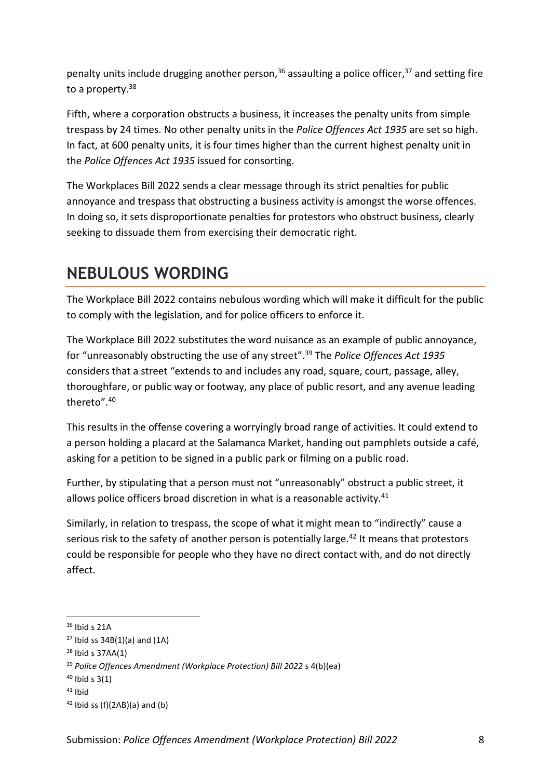penalty units include drugging another person,<sup>36</sup> assaulting a police officer,<sup>37</sup> and setting fire to a property.<sup>38</sup>

Fifth, where a corporation obstructs a business, it increases the penalty units from simple trespass by 24 times. No other penalty units in the *Police Offences Act 1935* are set so high. In fact, at 600 penalty units, it is four times higher than the current highest penalty unit in the *Police Offences Act 1935* issued for consorting.

The Workplaces Bill 2022 sends a clear message through its strict penalties for public annoyance and trespass that obstructing a business activity is amongst the worse offences. In doing so, it sets disproportionate penalties for protestors who obstruct business, clearly seeking to dissuade them from exercising their democratic right.

### <span id="page-11-0"></span>**NEBULOUS WORDING**

The Workplace Bill 2022 contains nebulous wording which will make it difficult for the public to comply with the legislation, and for police officers to enforce it.

The Workplace Bill 2022 substitutes the word nuisance as an example of public annoyance, for "unreasonably obstructing the use of any street". <sup>39</sup> The *Police Offences Act 1935* considers that a street "extends to and includes any road, square, court, passage, alley, thoroughfare, or public way or footway, any place of public resort, and any avenue leading thereto".<sup>40</sup>

This results in the offense covering a worryingly broad range of activities. It could extend to a person holding a placard at the Salamanca Market, handing out pamphlets outside a café, asking for a petition to be signed in a public park or filming on a public road.

Further, by stipulating that a person must not "unreasonably" obstruct a public street, it allows police officers broad discretion in what is a reasonable activity.<sup>41</sup>

Similarly, in relation to trespass, the scope of what it might mean to "indirectly" cause a serious risk to the safety of another person is potentially large.<sup>42</sup> It means that protestors could be responsible for people who they have no direct contact with, and do not directly affect.

 $36$  Ibid s 21A

 $37$  Ibid ss  $34B(1)(a)$  and  $(1A)$ 

<sup>38</sup> Ibid s 37AA(1)

<sup>39</sup> *Police Offences Amendment (Workplace Protection) Bill 2022* s 4(b)(ea)

 $40$  Ibid s 3(1)

 $41$  Ibid

 $42$  Ibid ss (f)(2AB)(a) and (b)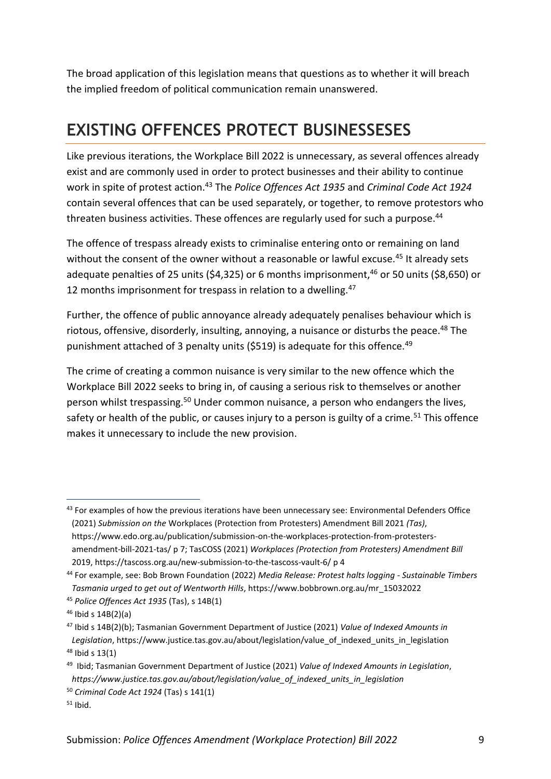The broad application of this legislation means that questions as to whether it will breach the implied freedom of political communication remain unanswered.

#### <span id="page-12-0"></span>**EXISTING OFFENCES PROTECT BUSINESSESES**

Like previous iterations, the Workplace Bill 2022 is unnecessary, as several offences already exist and are commonly used in order to protect businesses and their ability to continue work in spite of protest action.<sup>43</sup> The *Police Offences Act 1935* and *Criminal Code Act 1924* contain several offences that can be used separately, or together, to remove protestors who threaten business activities. These offences are regularly used for such a purpose.<sup>44</sup>

The offence of trespass already exists to criminalise entering onto or remaining on land without the consent of the owner without a reasonable or lawful excuse.<sup>45</sup> It already sets adequate penalties of 25 units (\$4,325) or 6 months imprisonment,  $46$  or 50 units (\$8,650) or 12 months imprisonment for trespass in relation to a dwelling. $47$ 

Further, the offence of public annoyance already adequately penalises behaviour which is riotous, offensive, disorderly, insulting, annoying, a nuisance or disturbs the peace.<sup>48</sup> The punishment attached of 3 penalty units (\$519) is adequate for this offence.<sup>49</sup>

The crime of creating a common nuisance is very similar to the new offence which the Workplace Bill 2022 seeks to bring in, of causing a serious risk to themselves or another person whilst trespassing.<sup>50</sup> Under common nuisance, a person who endangers the lives, safety or health of the public, or causes injury to a person is guilty of a crime.<sup>51</sup> This offence makes it unnecessary to include the new provision.

<sup>43</sup> For examples of how the previous iterations have been unnecessary see: Environmental Defenders Office (2021) *Submission on the* Workplaces (Protection from Protesters) Amendment Bill 2021 *(Tas)*, https://www.edo.org.au/publication/submission-on-the-workplaces-protection-from-protestersamendment-bill-2021-tas/ p 7; TasCOSS (2021) *Workplaces (Protection from Protesters) Amendment Bill*  2019[, https://tascoss.org.au/new-submission-to-the-tascoss-vault-6/](https://tascoss.org.au/new-submission-to-the-tascoss-vault-6/) p 4

<sup>44</sup> For example, see: Bob Brown Foundation (2022) *Media Release: Protest halts logging - Sustainable Timbers Tasmania urged to get out of Wentworth Hills*, https://www.bobbrown.org.au/mr\_15032022

<sup>45</sup> *Police Offences Act 1935* (Tas), s 14B(1)

 $46$  Ibid s  $14B(2)(a)$ 

<sup>47</sup> Ibid s 14B(2)(b); Tasmanian Government Department of Justice (2021) *Value of Indexed Amounts in Legislation*, https://www.justice.tas.gov.au/about/legislation/value\_of\_indexed\_units\_in\_legislation  $48$  Ibid s 13(1)

<sup>49</sup> Ibid; Tasmanian Government Department of Justice (2021) *Value of Indexed Amounts in Legislation*, *https://www.justice.tas.gov.au/about/legislation/value\_of\_indexed\_units\_in\_legislation*

<sup>50</sup> *Criminal Code Act 1924* (Tas) s 141(1)

 $51$  Ibid.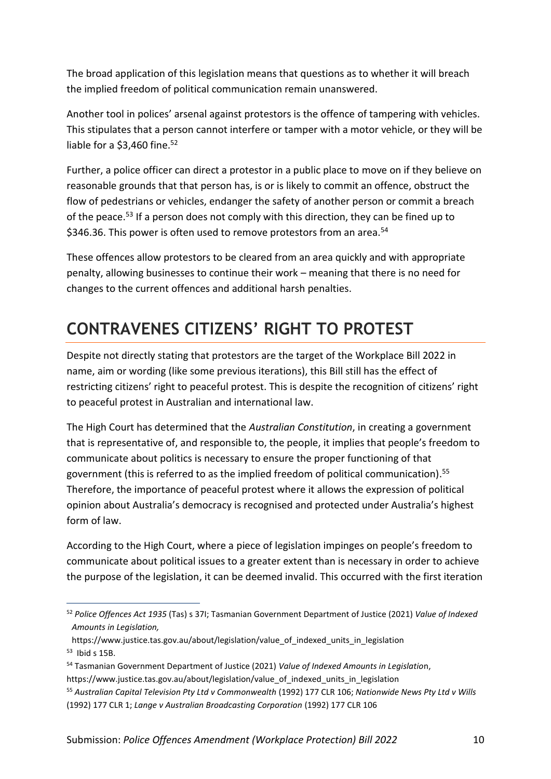The broad application of this legislation means that questions as to whether it will breach the implied freedom of political communication remain unanswered.

Another tool in polices' arsenal against protestors is the offence of tampering with vehicles. This stipulates that a person cannot interfere or tamper with a motor vehicle, or they will be liable for a  $$3,460$  fine.<sup>52</sup>

Further, a police officer can direct a protestor in a public place to move on if they believe on reasonable grounds that that person has, is or is likely to commit an offence, obstruct the flow of pedestrians or vehicles, endanger the safety of another person or commit a breach of the peace.<sup>53</sup> If a person does not comply with this direction, they can be fined up to \$346.36. This power is often used to remove protestors from an area.<sup>54</sup>

These offences allow protestors to be cleared from an area quickly and with appropriate penalty, allowing businesses to continue their work – meaning that there is no need for changes to the current offences and additional harsh penalties.

### <span id="page-13-0"></span>**CONTRAVENES CITIZENS' RIGHT TO PROTEST**

Despite not directly stating that protestors are the target of the Workplace Bill 2022 in name, aim or wording (like some previous iterations), this Bill still has the effect of restricting citizens' right to peaceful protest. This is despite the recognition of citizens' right to peaceful protest in Australian and international law.

The High Court has determined that the *Australian Constitution*, in creating a government that is representative of, and responsible to, the people, it implies that people's freedom to communicate about politics is necessary to ensure the proper functioning of that government (this is referred to as the implied freedom of political communication). 55 Therefore, the importance of peaceful protest where it allows the expression of political opinion about Australia's democracy is recognised and protected under Australia's highest form of law.

According to the High Court, where a piece of legislation impinges on people's freedom to communicate about political issues to a greater extent than is necessary in order to achieve the purpose of the legislation, it can be deemed invalid. This occurred with the first iteration

<sup>54</sup> Tasmanian Government Department of Justice (2021) *Value of Indexed Amounts in Legislatio*n,

<sup>52</sup> *Police Offences Act 1935* (Tas) s 37I; Tasmanian Government Department of Justice (2021) *Value of Indexed Amounts in Legislation,*

https://www.justice.tas.gov.au/about/legislation/value\_of\_indexed\_units\_in\_legislation <sup>53</sup> Ibid s 15B.

https://www.justice.tas.gov.au/about/legislation/value\_of\_indexed\_units\_in\_legislation

<sup>55</sup> *Australian Capital Television Pty Ltd v Commonwealth* (1992) 177 CLR 106; *Nationwide News Pty Ltd v Wills* (1992) 177 CLR 1; *Lange v Australian Broadcasting Corporation* (1992) 177 CLR 106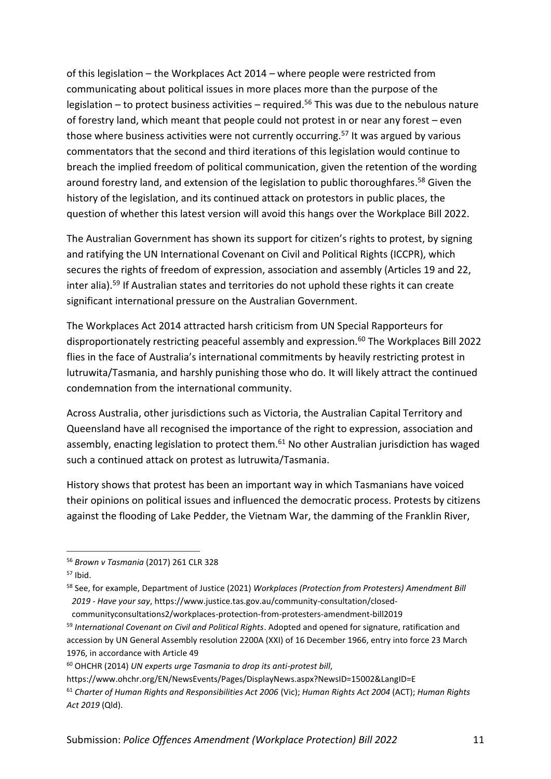of this legislation – the Workplaces Act 2014 – where people were restricted from communicating about political issues in more places more than the purpose of the legislation – to protect business activities – required. <sup>56</sup> This was due to the nebulous nature of forestry land, which meant that people could not protest in or near any forest – even those where business activities were not currently occurring.<sup>57</sup> It was argued by various commentators that the second and third iterations of this legislation would continue to breach the implied freedom of political communication, given the retention of the wording around forestry land, and extension of the legislation to public thoroughfares. <sup>58</sup> Given the history of the legislation, and its continued attack on protestors in public places, the question of whether this latest version will avoid this hangs over the Workplace Bill 2022.

The Australian Government has shown its support for citizen's rights to protest, by signing and ratifying the UN International Covenant on Civil and Political Rights (ICCPR), which secures the rights of freedom of expression, association and assembly (Articles 19 and 22, inter alia).<sup>59</sup> If Australian states and territories do not uphold these rights it can create significant international pressure on the Australian Government.

The Workplaces Act 2014 attracted harsh criticism from UN Special Rapporteurs for disproportionately restricting peaceful assembly and expression.<sup>60</sup> The Workplaces Bill 2022 flies in the face of Australia's international commitments by heavily restricting protest in lutruwita/Tasmania, and harshly punishing those who do. It will likely attract the continued condemnation from the international community.

Across Australia, other jurisdictions such as Victoria, the Australian Capital Territory and Queensland have all recognised the importance of the right to expression, association and assembly, enacting legislation to protect them.<sup>61</sup> No other Australian jurisdiction has waged such a continued attack on protest as lutruwita/Tasmania.

History shows that protest has been an important way in which Tasmanians have voiced their opinions on political issues and influenced the democratic process. Protests by citizens against the flooding of Lake Pedder, the Vietnam War, the damming of the Franklin River,

communityconsultations2/workplaces-protection-from-protesters-amendment-bill2019

<sup>56</sup> *Brown v Tasmania* (2017) 261 CLR 328

 $57$  Ibid.

<sup>58</sup> See, for example, Department of Justice (2021) *Workplaces (Protection from Protesters) Amendment Bill 2019 - Have your say*, https://www.justice.tas.gov.au/community-consultation/closed-

<sup>59</sup> *International Covenant on Civil and Political Rights*. Adopted and opened for signature, ratification and accession by UN General Assembly resolution 2200A (XXI) of 16 December 1966, entry into force 23 March 1976, in accordance with Article 49

<sup>60</sup> OHCHR (2014) *UN experts urge Tasmania to drop its anti-protest bill*,

https://www.ohchr.org/EN/NewsEvents/Pages/DisplayNews.aspx?NewsID=15002&LangID=E

<sup>61</sup> *Charter of Human Rights and Responsibilities Act 2006* (Vic); *Human Rights Act 2004* (ACT); *Human Rights Act 2019* (Qld).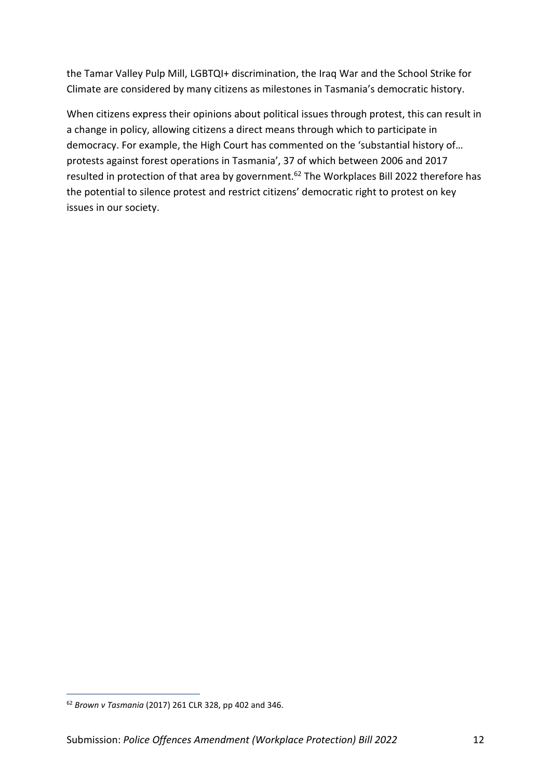the Tamar Valley Pulp Mill, LGBTQI+ discrimination, the Iraq War and the School Strike for Climate are considered by many citizens as milestones in Tasmania's democratic history.

When citizens express their opinions about political issues through protest, this can result in a change in policy, allowing citizens a direct means through which to participate in democracy. For example, the High Court has commented on the 'substantial history of… protests against forest operations in Tasmania', 37 of which between 2006 and 2017 resulted in protection of that area by government.<sup>62</sup> The Workplaces Bill 2022 therefore has the potential to silence protest and restrict citizens' democratic right to protest on key issues in our society.

<sup>62</sup> *Brown v Tasmania* (2017) 261 CLR 328, pp 402 and 346.